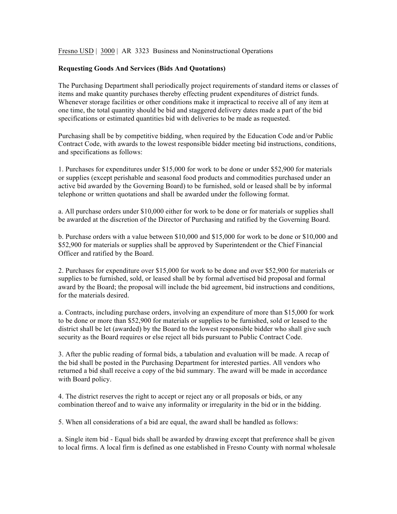Fresno USD | 3000 | AR 3323 Business and Noninstructional Operations

## **Requesting Goods And Services (Bids And Quotations)**

The Purchasing Department shall periodically project requirements of standard items or classes of items and make quantity purchases thereby effecting prudent expenditures of district funds. Whenever storage facilities or other conditions make it impractical to receive all of any item at one time, the total quantity should be bid and staggered delivery dates made a part of the bid specifications or estimated quantities bid with deliveries to be made as requested.

Purchasing shall be by competitive bidding, when required by the Education Code and/or Public Contract Code, with awards to the lowest responsible bidder meeting bid instructions, conditions, and specifications as follows:

1. Purchases for expenditures under \$15,000 for work to be done or under \$52,900 for materials or supplies (except perishable and seasonal food products and commodities purchased under an active bid awarded by the Governing Board) to be furnished, sold or leased shall be by informal telephone or written quotations and shall be awarded under the following format.

a. All purchase orders under \$10,000 either for work to be done or for materials or supplies shall be awarded at the discretion of the Director of Purchasing and ratified by the Governing Board.

b. Purchase orders with a value between \$10,000 and \$15,000 for work to be done or \$10,000 and \$52,900 for materials or supplies shall be approved by Superintendent or the Chief Financial Officer and ratified by the Board.

2. Purchases for expenditure over \$15,000 for work to be done and over \$52,900 for materials or supplies to be furnished, sold, or leased shall be by formal advertised bid proposal and formal award by the Board; the proposal will include the bid agreement, bid instructions and conditions, for the materials desired.

a. Contracts, including purchase orders, involving an expenditure of more than \$15,000 for work to be done or more than \$52,900 for materials or supplies to be furnished, sold or leased to the district shall be let (awarded) by the Board to the lowest responsible bidder who shall give such security as the Board requires or else reject all bids pursuant to Public Contract Code.

3. After the public reading of formal bids, a tabulation and evaluation will be made. A recap of the bid shall be posted in the Purchasing Department for interested parties. All vendors who returned a bid shall receive a copy of the bid summary. The award will be made in accordance with Board policy.

4. The district reserves the right to accept or reject any or all proposals or bids, or any combination thereof and to waive any informality or irregularity in the bid or in the bidding.

5. When all considerations of a bid are equal, the award shall be handled as follows:

a. Single item bid - Equal bids shall be awarded by drawing except that preference shall be given to local firms. A local firm is defined as one established in Fresno County with normal wholesale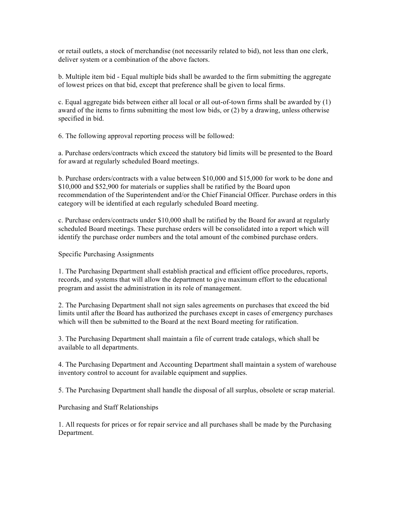or retail outlets, a stock of merchandise (not necessarily related to bid), not less than one clerk, deliver system or a combination of the above factors.

b. Multiple item bid - Equal multiple bids shall be awarded to the firm submitting the aggregate of lowest prices on that bid, except that preference shall be given to local firms.

c. Equal aggregate bids between either all local or all out-of-town firms shall be awarded by (1) award of the items to firms submitting the most low bids, or (2) by a drawing, unless otherwise specified in bid.

6. The following approval reporting process will be followed:

a. Purchase orders/contracts which exceed the statutory bid limits will be presented to the Board for award at regularly scheduled Board meetings.

b. Purchase orders/contracts with a value between \$10,000 and \$15,000 for work to be done and \$10,000 and \$52,900 for materials or supplies shall be ratified by the Board upon recommendation of the Superintendent and/or the Chief Financial Officer. Purchase orders in this category will be identified at each regularly scheduled Board meeting.

c. Purchase orders/contracts under \$10,000 shall be ratified by the Board for award at regularly scheduled Board meetings. These purchase orders will be consolidated into a report which will identify the purchase order numbers and the total amount of the combined purchase orders.

Specific Purchasing Assignments

1. The Purchasing Department shall establish practical and efficient office procedures, reports, records, and systems that will allow the department to give maximum effort to the educational program and assist the administration in its role of management.

2. The Purchasing Department shall not sign sales agreements on purchases that exceed the bid limits until after the Board has authorized the purchases except in cases of emergency purchases which will then be submitted to the Board at the next Board meeting for ratification.

3. The Purchasing Department shall maintain a file of current trade catalogs, which shall be available to all departments.

4. The Purchasing Department and Accounting Department shall maintain a system of warehouse inventory control to account for available equipment and supplies.

5. The Purchasing Department shall handle the disposal of all surplus, obsolete or scrap material.

Purchasing and Staff Relationships

1. All requests for prices or for repair service and all purchases shall be made by the Purchasing Department.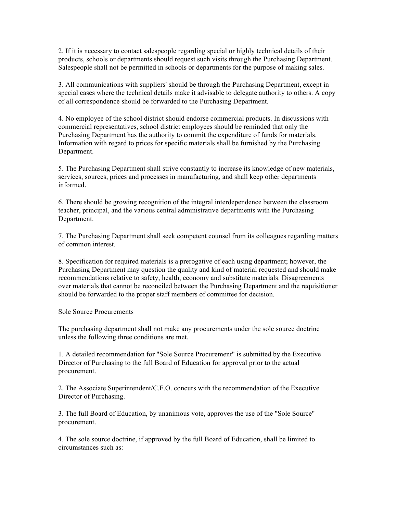2. If it is necessary to contact salespeople regarding special or highly technical details of their products, schools or departments should request such visits through the Purchasing Department. Salespeople shall not be permitted in schools or departments for the purpose of making sales.

3. All communications with suppliers' should be through the Purchasing Department, except in special cases where the technical details make it advisable to delegate authority to others. A copy of all correspondence should be forwarded to the Purchasing Department.

4. No employee of the school district should endorse commercial products. In discussions with commercial representatives, school district employees should be reminded that only the Purchasing Department has the authority to commit the expenditure of funds for materials. Information with regard to prices for specific materials shall be furnished by the Purchasing Department.

5. The Purchasing Department shall strive constantly to increase its knowledge of new materials, services, sources, prices and processes in manufacturing, and shall keep other departments informed.

6. There should be growing recognition of the integral interdependence between the classroom teacher, principal, and the various central administrative departments with the Purchasing Department.

7. The Purchasing Department shall seek competent counsel from its colleagues regarding matters of common interest.

8. Specification for required materials is a prerogative of each using department; however, the Purchasing Department may question the quality and kind of material requested and should make recommendations relative to safety, health, economy and substitute materials. Disagreements over materials that cannot be reconciled between the Purchasing Department and the requisitioner should be forwarded to the proper staff members of committee for decision.

Sole Source Procurements

The purchasing department shall not make any procurements under the sole source doctrine unless the following three conditions are met.

1. A detailed recommendation for "Sole Source Procurement" is submitted by the Executive Director of Purchasing to the full Board of Education for approval prior to the actual procurement.

2. The Associate Superintendent/C.F.O. concurs with the recommendation of the Executive Director of Purchasing.

3. The full Board of Education, by unanimous vote, approves the use of the "Sole Source" procurement.

4. The sole source doctrine, if approved by the full Board of Education, shall be limited to circumstances such as: